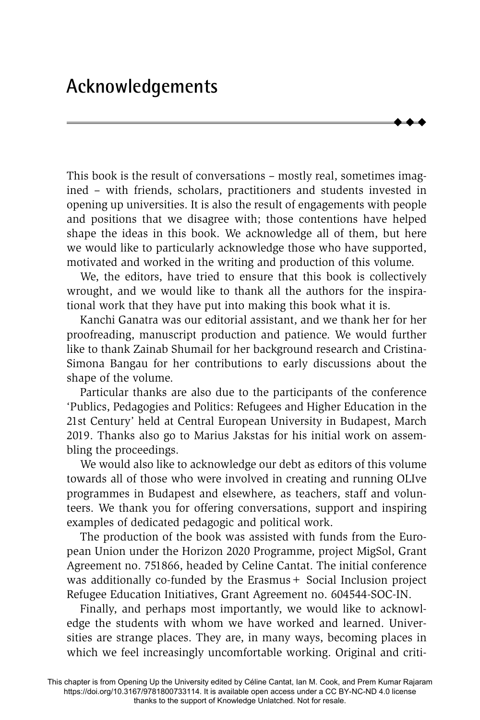This book is the result of conversations – mostly real, sometimes imagined – with friends, scholars, practitioners and students invested in opening up universities. It is also the result of engagements with people and positions that we disagree with; those contentions have helped shape the ideas in this book. We acknowledge all of them, but here we would like to particularly acknowledge those who have supported, motivated and worked in the writing and production of this volume.

 $\ddot{\bullet}$  $\blacklozenge$  $\blacklozenge$ 

We, the editors, have tried to ensure that this book is collectively wrought, and we would like to thank all the authors for the inspirational work that they have put into making this book what it is.

Kanchi Ganatra was our editorial assistant, and we thank her for her proofreading, manuscript production and patience. We would further like to thank Zainab Shumail for her background research and Cristina-Simona Bangau for her contributions to early discussions about the shape of the volume.

Particular thanks are also due to the participants of the conference 'Publics, Pedagogies and Politics: Refugees and Higher Education in the 21st Century' held at Central European University in Budapest, March 2019. Thanks also go to Marius Jakstas for his initial work on assembling the proceedings.

We would also like to acknowledge our debt as editors of this volume towards all of those who were involved in creating and running OLIve programmes in Budapest and elsewhere, as teachers, staff and volunteers. We thank you for offering conversations, support and inspiring examples of dedicated pedagogic and political work.

The production of the book was assisted with funds from the European Union under the Horizon 2020 Programme, project MigSol, Grant Agreement no. 751866, headed by Celine Cantat. The initial conference was additionally co-funded by the Erasmus + Social Inclusion project Refugee Education Initiatives, Grant Agreement no. 604544-SOC-IN.

Finally, and perhaps most importantly, we would like to acknowledge the students with whom we have worked and learned. Universities are strange places. They are, in many ways, becoming places in which we feel increasingly uncomfortable working. Original and criti-